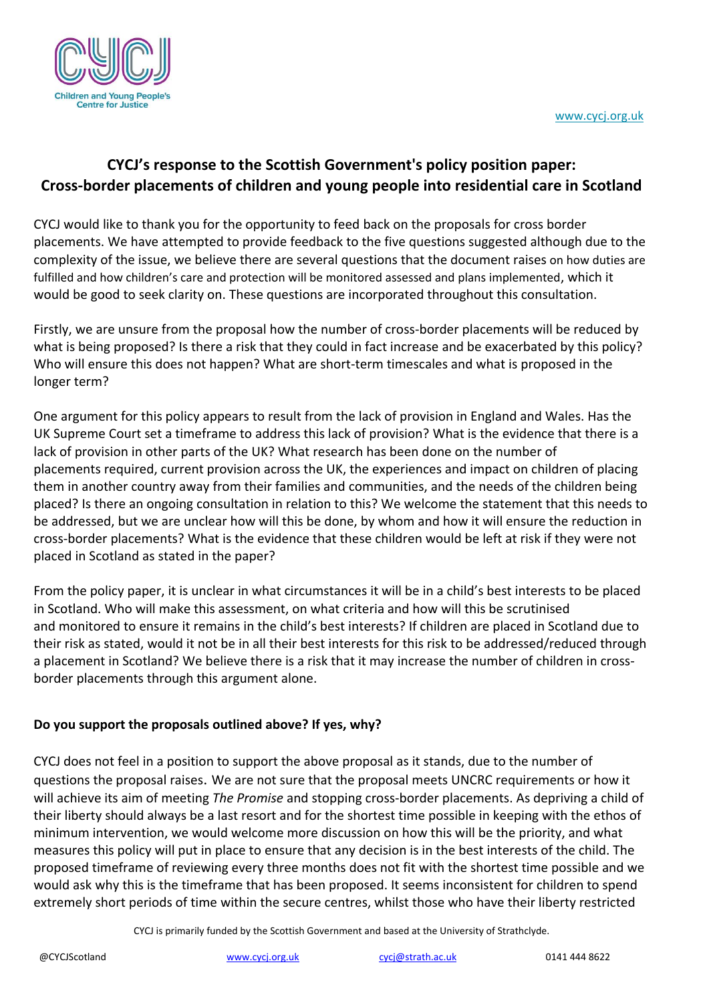

# **CYCJ's response to the Scottish Government's policy position paper: Cross-border placements of children and young people into residential care in Scotland**

CYCJ would like to thank you for the opportunity to feed back on the proposals for cross border placements. We have attempted to provide feedback to the five questions suggested although due to the complexity of the issue, we believe there are several questions that the document raises on how duties are fulfilled and how children's care and protection will be monitored assessed and plans implemented, which it would be good to seek clarity on. These questions are incorporated throughout this consultation.

Firstly, we are unsure from the proposal how the number of cross-border placements will be reduced by what is being proposed? Is there a risk that they could in fact increase and be exacerbated by this policy? Who will ensure this does not happen? What are short-term timescales and what is proposed in the longer term?

One argument for this policy appears to result from the lack of provision in England and Wales. Has the UK Supreme Court set a timeframe to address this lack of provision? What is the evidence that there is a lack of provision in other parts of the UK? What research has been done on the number of placements required, current provision across the UK, the experiences and impact on children of placing them in another country away from their families and communities, and the needs of the children being placed? Is there an ongoing consultation in relation to this? We welcome the statement that this needs to be addressed, but we are unclear how will this be done, by whom and how it will ensure the reduction in cross-border placements? What is the evidence that these children would be left at risk if they were not placed in Scotland as stated in the paper?

From the policy paper, it is unclear in what circumstances it will be in a child's best interests to be placed in Scotland. Who will make this assessment, on what criteria and how will this be scrutinised and monitored to ensure it remains in the child's best interests? If children are placed in Scotland due to their risk as stated, would it not be in all their best interests for this risk to be addressed/reduced through a placement in Scotland? We believe there is a risk that it may increase the number of children in crossborder placements through this argument alone.

# **Do you support the proposals outlined above? If yes, why?**

CYCJ does not feel in a position to support the above proposal as it stands, due to the number of questions the proposal raises. We are not sure that the proposal meets UNCRC requirements or how it will achieve its aim of meeting *The Promise* and stopping cross-border placements. As depriving a child of their liberty should always be a last resort and for the shortest time possible in keeping with the ethos of minimum intervention, we would welcome more discussion on how this will be the priority, and what measures this policy will put in place to ensure that any decision is in the best interests of the child. The proposed timeframe of reviewing every three months does not fit with the shortest time possible and we would ask why this is the timeframe that has been proposed. It seems inconsistent for children to spend extremely short periods of time within the secure centres, whilst those who have their liberty restricted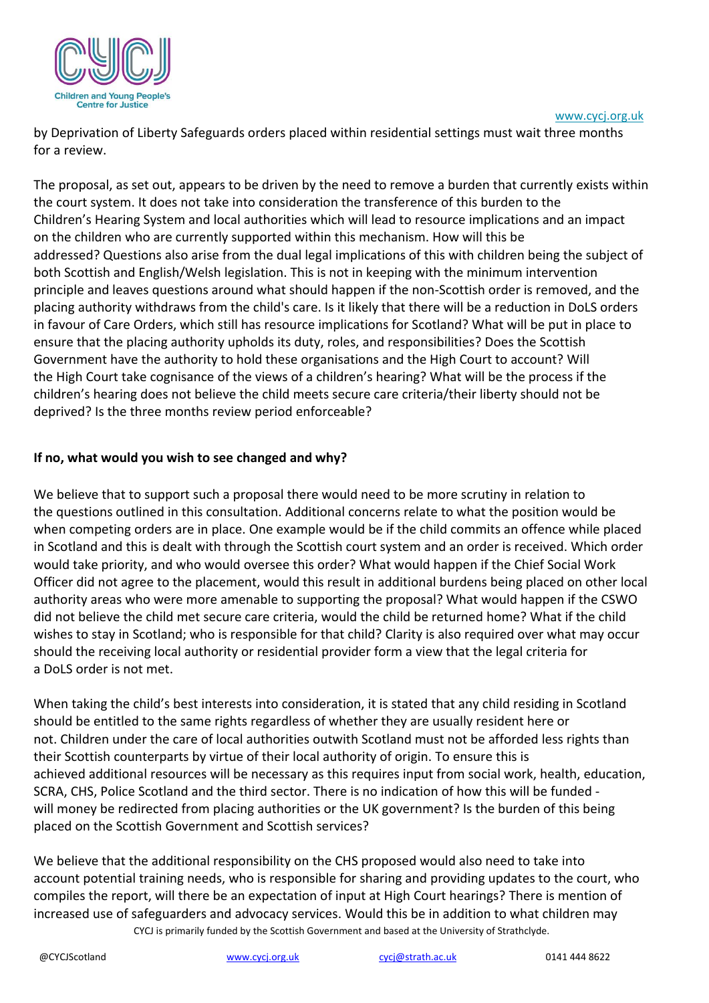

[www.cycj.org.uk](http://www.cycj.org.uk/)

by Deprivation of Liberty Safeguards orders placed within residential settings must wait three months for a review.

The proposal, as set out, appears to be driven by the need to remove a burden that currently exists within the court system. It does not take into consideration the transference of this burden to the Children's Hearing System and local authorities which will lead to resource implications and an impact on the children who are currently supported within this mechanism. How will this be addressed? Questions also arise from the dual legal implications of this with children being the subject of both Scottish and English/Welsh legislation. This is not in keeping with the minimum intervention principle and leaves questions around what should happen if the non-Scottish order is removed, and the placing authority withdraws from the child's care. Is it likely that there will be a reduction in DoLS orders in favour of Care Orders, which still has resource implications for Scotland? What will be put in place to ensure that the placing authority upholds its duty, roles, and responsibilities? Does the Scottish Government have the authority to hold these organisations and the High Court to account? Will the High Court take cognisance of the views of a children's hearing? What will be the process if the children's hearing does not believe the child meets secure care criteria/their liberty should not be deprived? Is the three months review period enforceable?

### **If no, what would you wish to see changed and why?**

We believe that to support such a proposal there would need to be more scrutiny in relation to the questions outlined in this consultation. Additional concerns relate to what the position would be when competing orders are in place. One example would be if the child commits an offence while placed in Scotland and this is dealt with through the Scottish court system and an order is received. Which order would take priority, and who would oversee this order? What would happen if the Chief Social Work Officer did not agree to the placement, would this result in additional burdens being placed on other local authority areas who were more amenable to supporting the proposal? What would happen if the CSWO did not believe the child met secure care criteria, would the child be returned home? What if the child wishes to stay in Scotland; who is responsible for that child? Clarity is also required over what may occur should the receiving local authority or residential provider form a view that the legal criteria for a DoLS order is not met.

When taking the child's best interests into consideration, it is stated that any child residing in Scotland should be entitled to the same rights regardless of whether they are usually resident here or not. Children under the care of local authorities outwith Scotland must not be afforded less rights than their Scottish counterparts by virtue of their local authority of origin. To ensure this is achieved additional resources will be necessary as this requires input from social work, health, education, SCRA, CHS, Police Scotland and the third sector. There is no indication of how this will be funded will money be redirected from placing authorities or the UK government? Is the burden of this being placed on the Scottish Government and Scottish services?

CYCJ is primarily funded by the Scottish Government and based at the University of Strathclyde. We believe that the additional responsibility on the CHS proposed would also need to take into account potential training needs, who is responsible for sharing and providing updates to the court, who compiles the report, will there be an expectation of input at High Court hearings? There is mention of increased use of safeguarders and advocacy services. Would this be in addition to what children may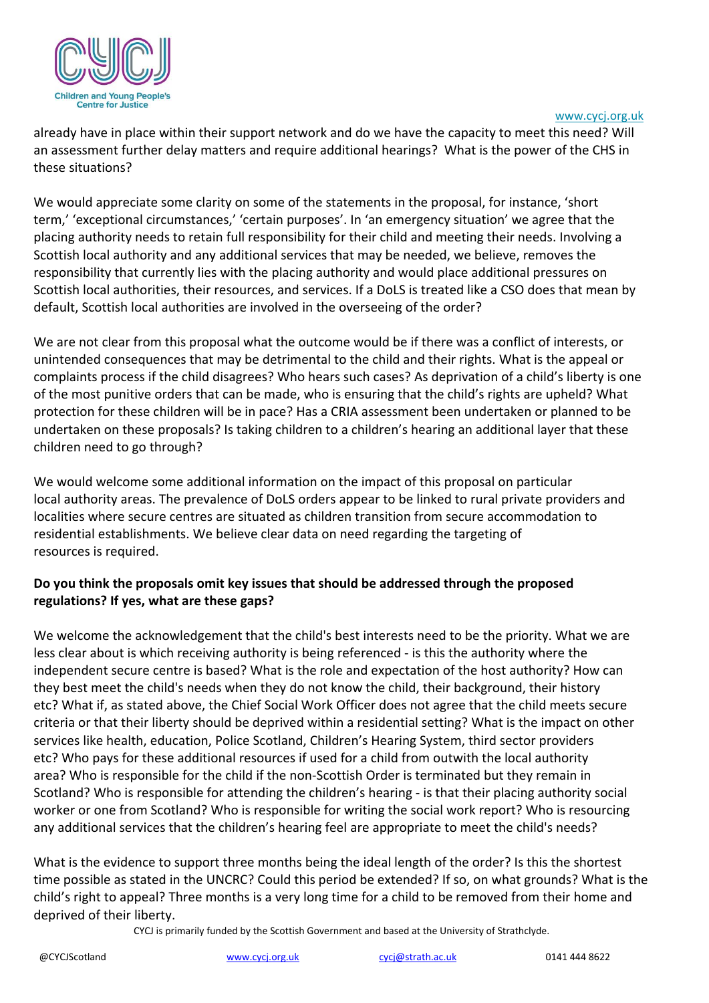

#### [www.cycj.org.uk](http://www.cycj.org.uk/)

already have in place within their support network and do we have the capacity to meet this need? Will an assessment further delay matters and require additional hearings? What is the power of the CHS in these situations?

We would appreciate some clarity on some of the statements in the proposal, for instance, 'short term,' 'exceptional circumstances,' 'certain purposes'. In 'an emergency situation' we agree that the placing authority needs to retain full responsibility for their child and meeting their needs. Involving a Scottish local authority and any additional services that may be needed, we believe, removes the responsibility that currently lies with the placing authority and would place additional pressures on Scottish local authorities, their resources, and services. If a DoLS is treated like a CSO does that mean by default, Scottish local authorities are involved in the overseeing of the order?

We are not clear from this proposal what the outcome would be if there was a conflict of interests, or unintended consequences that may be detrimental to the child and their rights. What is the appeal or complaints process if the child disagrees? Who hears such cases? As deprivation of a child's liberty is one of the most punitive orders that can be made, who is ensuring that the child's rights are upheld? What protection for these children will be in pace? Has a CRIA assessment been undertaken or planned to be undertaken on these proposals? Is taking children to a children's hearing an additional layer that these children need to go through?

We would welcome some additional information on the impact of this proposal on particular local authority areas. The prevalence of DoLS orders appear to be linked to rural private providers and localities where secure centres are situated as children transition from secure accommodation to residential establishments. We believe clear data on need regarding the targeting of resources is required.

### **Do you think the proposals omit key issues that should be addressed through the proposed regulations? If yes, what are these gaps?**

We welcome the acknowledgement that the child's best interests need to be the priority. What we are less clear about is which receiving authority is being referenced - is this the authority where the independent secure centre is based? What is the role and expectation of the host authority? How can they best meet the child's needs when they do not know the child, their background, their history etc? What if, as stated above, the Chief Social Work Officer does not agree that the child meets secure criteria or that their liberty should be deprived within a residential setting? What is the impact on other services like health, education, Police Scotland, Children's Hearing System, third sector providers etc? Who pays for these additional resources if used for a child from outwith the local authority area? Who is responsible for the child if the non-Scottish Order is terminated but they remain in Scotland? Who is responsible for attending the children's hearing - is that their placing authority social worker or one from Scotland? Who is responsible for writing the social work report? Who is resourcing any additional services that the children's hearing feel are appropriate to meet the child's needs?

What is the evidence to support three months being the ideal length of the order? Is this the shortest time possible as stated in the UNCRC? Could this period be extended? If so, on what grounds? What is the child's right to appeal? Three months is a very long time for a child to be removed from their home and deprived of their liberty.

CYCJ is primarily funded by the Scottish Government and based at the University of Strathclyde.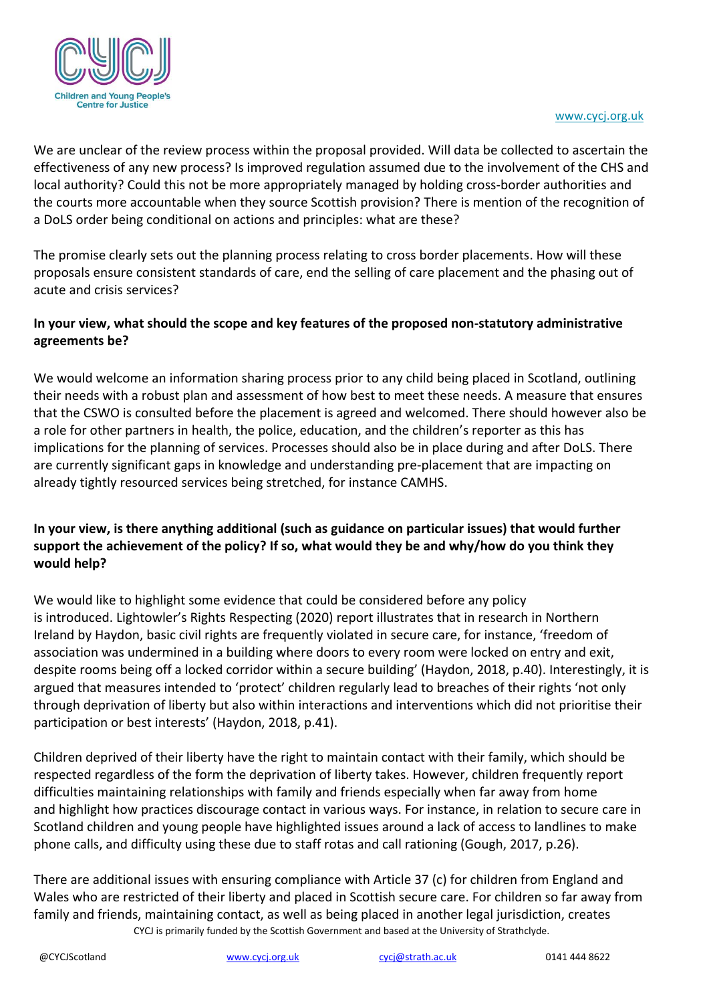

We are unclear of the review process within the proposal provided. Will data be collected to ascertain the effectiveness of any new process? Is improved regulation assumed due to the involvement of the CHS and local authority? Could this not be more appropriately managed by holding cross-border authorities and the courts more accountable when they source Scottish provision? There is mention of the recognition of a DoLS order being conditional on actions and principles: what are these?

The promise clearly sets out the planning process relating to cross border placements. How will these proposals ensure consistent standards of care, end the selling of care placement and the phasing out of acute and crisis services?

## **In your view, what should the scope and key features of the proposed non-statutory administrative agreements be?**

We would welcome an information sharing process prior to any child being placed in Scotland, outlining their needs with a robust plan and assessment of how best to meet these needs. A measure that ensures that the CSWO is consulted before the placement is agreed and welcomed. There should however also be a role for other partners in health, the police, education, and the children's reporter as this has implications for the planning of services. Processes should also be in place during and after DoLS. There are currently significant gaps in knowledge and understanding pre-placement that are impacting on already tightly resourced services being stretched, for instance CAMHS.

# **In your view, is there anything additional (such as guidance on particular issues) that would further support the achievement of the policy? If so, what would they be and why/how do you think they would help?**

We would like to highlight some evidence that could be considered before any policy is introduced. Lightowler's Rights Respecting (2020) report illustrates that in research in Northern Ireland by Haydon, basic civil rights are frequently violated in secure care, for instance, 'freedom of association was undermined in a building where doors to every room were locked on entry and exit, despite rooms being off a locked corridor within a secure building' (Haydon, 2018, p.40). Interestingly, it is argued that measures intended to 'protect' children regularly lead to breaches of their rights 'not only through deprivation of liberty but also within interactions and interventions which did not prioritise their participation or best interests' (Haydon, 2018, p.41).

Children deprived of their liberty have the right to maintain contact with their family, which should be respected regardless of the form the deprivation of liberty takes. However, children frequently report difficulties maintaining relationships with family and friends especially when far away from home and highlight how practices discourage contact in various ways. For instance, in relation to secure care in Scotland children and young people have highlighted issues around a lack of access to landlines to make phone calls, and difficulty using these due to staff rotas and call rationing (Gough, 2017, p.26).

CYCJ is primarily funded by the Scottish Government and based at the University of Strathclyde. There are additional issues with ensuring compliance with Article 37 (c) for children from England and Wales who are restricted of their liberty and placed in Scottish secure care. For children so far away from family and friends, maintaining contact, as well as being placed in another legal jurisdiction, creates